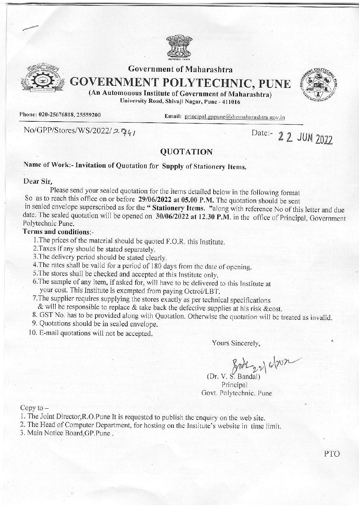



## **Government of Maharashtra**

**GOVERNMENT POLYTECHNIC, PUNE** 



(An Automonous Institute of Government of Maharashtra) University Road, Shivaji Nagar, Pune - 411016

Phone: 020-25676818, 25559200

Email: principal.gppune@dtemaharashtra.gov.in

No/GPP/Stores/WS/2022/2741

Date:- 2 2 JUN 2022

### **QUOTATION**

# Name of Work:- Invitation of Quotation for Supply of Stationery Items.

### Dear Sir,

Please send your sealed quotation for the items detailed below in the following format So as to reach this office on or before  $29/06/2022$  at 05.00 P.M. The quotation should be sent in sealed envelope superscribed as for the "Stationery Items. "along with reference No of this letter and due date. The sealed quotation will be opened on 30/06/2022 at 12.30 P.M. in the office of Principal, Government Polytechnic Pune.

### Terms and conditions:-

- 1. The prices of the material should be quoted F.O.R. this Institute.
- 2. Taxes if any should be stated separately.
- 3. The delivery period should be stated clearly.
- 4. The rates shall be valid for a period of 180 days from the date of opening.
- 5. The stores shall be checked and accepted at this Institute only.
- 6. The sample of any item, if asked for, will have to be delivered to this Institute at your cost. This Institute is exempted from paying Octroi/LBT.
- 7. The supplier requires supplying the stores exactly as per technical specifications
- & will be responsible to replace & take back the defective supplies at his risk & cost.
- 8. GST No. has to be provided along with Quotation. Otherwise the quotation will be treated as invalid.
- 9. Quotations should be in sealed envelope.
- 10. E-mail quotations will not be accepted.

Yours Sincerely,

(Dr. V. S. Bandal)

Principal Govt. Polytechnic. Pune

Copy to  $-$ 

- 1. The Joint Director, R.O. Pune It is requested to publish the enquiry on the web site.
- 2. The Head of Computer Department, for hosting on the Institute's website in time limit.
- 3. Main Notice Board GP.Pune.